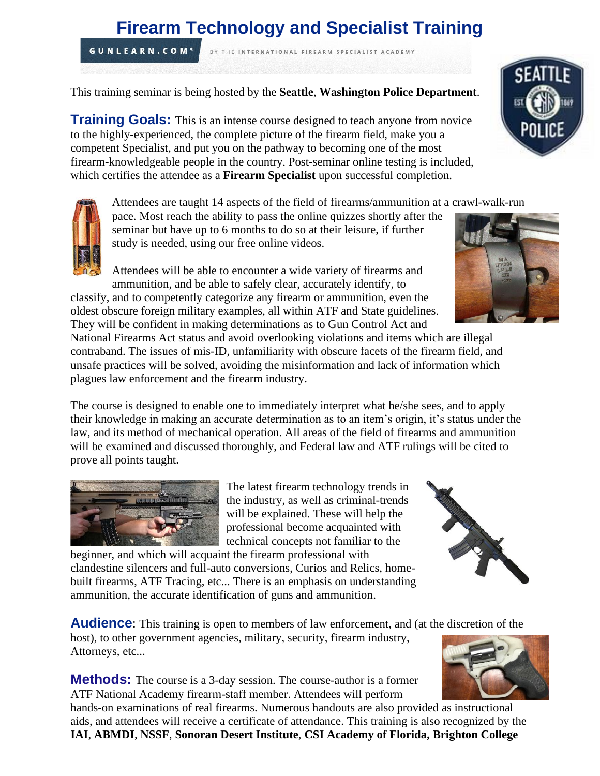# **Firearm Technology and Specialist Training**

BY THE INTERNATIONAL FIREARM SPECIALIST ACADEMY

This training seminar is being hosted by the **Seattle**, **Washington Police Department**.

**Training Goals:** This is an intense course designed to teach anyone from novice to the highly-experienced, the complete picture of the firearm field, make you a competent Specialist, and put you on the pathway to becoming one of the most firearm-knowledgeable people in the country. Post-seminar online testing is included, which certifies the attendee as a **Firearm Specialist** upon successful completion.

Attendees are taught 14 aspects of the field of firearms/ammunition at a crawl-walk-run

pace. Most reach the ability to pass the online quizzes shortly after the seminar but have up to 6 months to do so at their leisure, if further study is needed, using our free online videos.

Attendees will be able to encounter a wide variety of firearms and ammunition, and be able to safely clear, accurately identify, to classify, and to competently categorize any firearm or ammunition, even the

oldest obscure foreign military examples, all within ATF and State guidelines. They will be confident in making determinations as to Gun Control Act and National Firearms Act status and avoid overlooking violations and items which are illegal contraband. The issues of mis-ID, unfamiliarity with obscure facets of the firearm field, and

unsafe practices will be solved, avoiding the misinformation and lack of information which plagues law enforcement and the firearm industry.

The course is designed to enable one to immediately interpret what he/she sees, and to apply their knowledge in making an accurate determination as to an item's origin, it's status under the law, and its method of mechanical operation. All areas of the field of firearms and ammunition will be examined and discussed thoroughly, and Federal law and ATF rulings will be cited to prove all points taught.

> The latest firearm technology trends in the industry, as well as criminal-trends will be explained. These will help the professional become acquainted with technical concepts not familiar to the

beginner, and which will acquaint the firearm professional with clandestine silencers and full-auto conversions, Curios and Relics, homebuilt firearms, ATF Tracing, etc... There is an emphasis on understanding ammunition, the accurate identification of guns and ammunition.

**Audience:** This training is open to members of law enforcement, and (at the discretion of the

host), to other government agencies, military, security, firearm industry, Attorneys, etc...

**Methods:** The course is a 3-day session. The course-author is a former ATF National Academy firearm-staff member. Attendees will perform

hands-on examinations of real firearms. Numerous handouts are also provided as instructional aids, and attendees will receive a certificate of attendance. This training is also recognized by the **IAI**, **ABMDI**, **NSSF**, **Sonoran Desert Institute**, **CSI Academy of Florida, Brighton College**









**GUNLEARN.COM®**